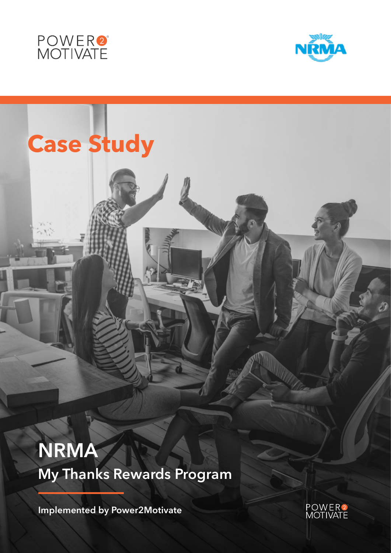



# **Case Study**

**NRMA My Thanks Rewards Program** 

**Implemented by Power2Motivate**

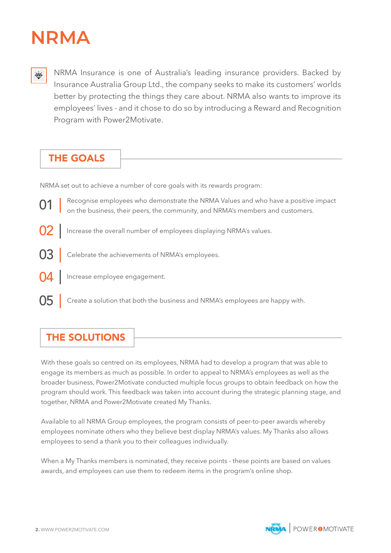# **NRMA**

NRMA Insurance is one of Australia's leading insurance providers. Backed by  $\overleftrightarrow{\mathbf{\mathbb{P}}}$ Insurance Australia Group Ltd., the company seeks to make its customers' worlds better by protecting the things they care about. NRMA also wants to improve its employees' lives - and it chose to do so by introducing a Reward and Recognition Program with Power2Motivate.

## THE GOALS

NRMA set out to achieve a number of core goals with its rewards program:

01 02 03 Recognise employees who demonstrate the NRMA Values and who have a positive impact on the business, their peers, the community, and NRMA's members and customers. Increase the overall number of employees displaying NRMA's values. Celebrate the achievements of NRMA's employees. 04 05 Increase employee engagement. Create a solution that both the business and NRMA's employees are happy with.

# THE SOLUTIONS

With these goals so centred on its employees, NRMA had to develop a program that was able to engage its members as much as possible. In order to appeal to NRMA's employees as well as the broader business, Power2Motivate conducted multiple focus groups to obtain feedback on how the program should work. This feedback was taken into account during the strategic planning stage, and together, NRMA and Power2Motivate created My Thanks.

Available to all NRMA Group employees, the program consists of peer-to-peer awards whereby employees nominate others who they believe best display NRMA's values. My Thanks also allows employees to send a thank you to their colleagues individually.

When a My Thanks members is nominated, they receive points - these points are based on values awards, and employees can use them to redeem items in the program's online shop.

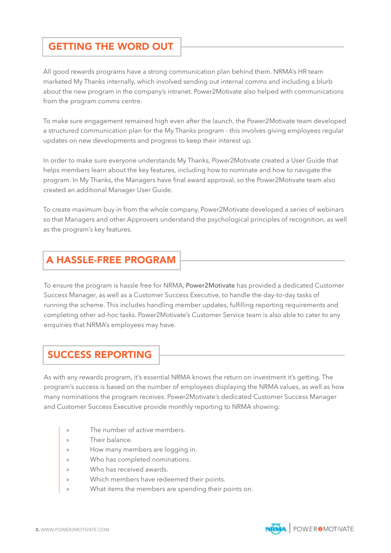### GETTING THE WORD OUT

All good rewards programs have a strong communication plan behind them. NRMA's HR team marketed My Thanks internally, which involved sending out internal comms and including a blurb about the new program in the company's intranet. Power2Motivate also helped with communications from the program comms centre.

To make sure engagement remained high even after the launch, the Power2Motivate team developed a structured communication plan for the My Thanks program - this involves giving employees regular updates on new developments and progress to keep their interest up.

In order to make sure everyone understands My Thanks, Power2Motivate created a User Guide that helps members learn about the key features, including how to nominate and how to navigate the program. In My Thanks, the Managers have final award approval, so the Power2Motivate team also created an additional Manager User Guide.

To create maximum buy in from the whole company, Power2Motivate developed a series of webinars so that Managers and other Approvers understand the psychological principles of recognition, as well as the program's key features.

#### A HASSLE-FREE PROGRAM

To ensure the program is hassle free for NRMA, Power2Motivate has provided a dedicated Customer Success Manager, as well as a Customer Success Executive, to handle the day-to-day tasks of running the scheme. This includes handling member updates, fulfilling reporting requirements and completing other ad-hoc tasks. Power2Motivate's Customer Service team is also able to cater to any enquiries that NRMA's employees may have.

#### SUCCESS REPORTING

As with any rewards program, it's essential NRMA knows the return on investment it's getting. The program's success is based on the number of employees displaying the NRMA values, as well as how many nominations the program receives. Power2Motivate's dedicated Customer Success Manager and Customer Success Executive provide monthly reporting to NRMA showing:

- » The number of active members.
- » Their balance.
- » How many members are logging in.
- » Who has completed nominations.
- » Who has received awards.
- » Which members have redeemed their points.
- What items the members are spending their points on.